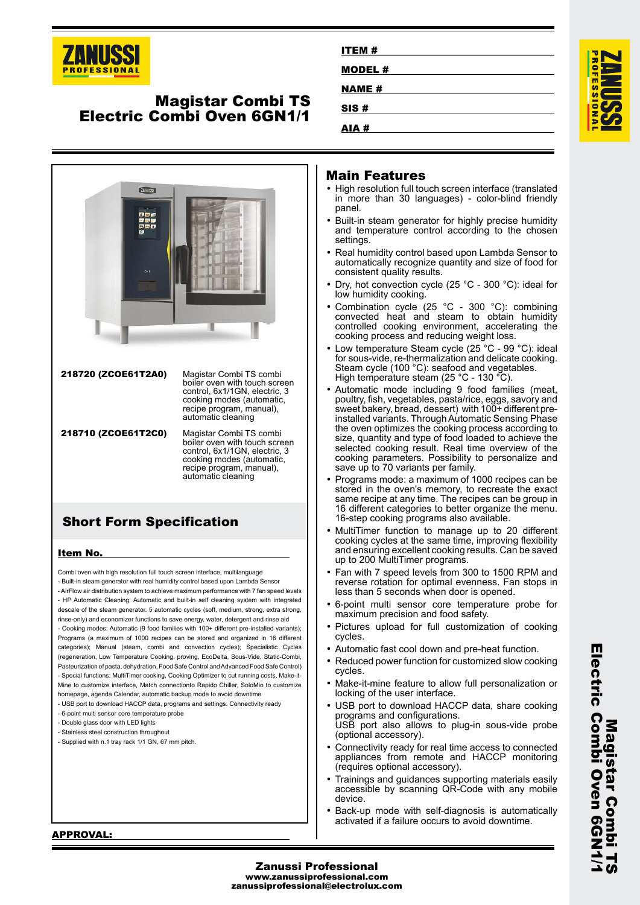

## **Magistar Combi TS Electric Combi Oven 6GN1/1**



## **Short Form Specification**

#### **Item No.**

Combi oven with high resolution full touch screen interface, multilanguage - Built-in steam generator with real humidity control based upon Lambda Sensor - AirFlow air distribution system to achieve maximum performance with 7 fan speed levels - HP Automatic Cleaning: Automatic and built-in self cleaning system with integrated descale of the steam generator. 5 automatic cycles (soft, medium, strong, extra strong, rinse-only) and economizer functions to save energy, water, detergent and rinse aid - Cooking modes: Automatic (9 food families with 100+ different pre-installed variants); Programs (a maximum of 1000 recipes can be stored and organized in 16 different categories); Manual (steam, combi and convection cycles); Specialistic Cycles (regeneration, Low Temperature Cooking, proving, EcoDelta, Sous-Vide, Static-Combi, Pasteurization of pasta, dehydration, Food Safe Control and Advanced Food Safe Control) - Special functions: MultiTimer cooking, Cooking Optimizer to cut running costs, Make-it-Mine to customize interface, Match connectionto Rapido Chiller, SoloMio to customize homepage, agenda Calendar, automatic backup mode to avoid downtime

- USB port to download HACCP data, programs and settings. Connectivity ready
- 6-point multi sensor core temperature probe
- Double glass door with LED lights
- Stainless steel construction throughout
- Supplied with n.1 tray rack 1/1 GN, 67 mm pitch.

| ITEM#         |  |
|---------------|--|
| <b>MODEL#</b> |  |
| <b>NAME#</b>  |  |
| SIS#          |  |
| AIA#          |  |

#### **Main Features**

- High resolution full touch screen interface (translated in more than 30 languages) - color-blind friendly panel.
- Built-in steam generator for highly precise humidity and temperature control according to the chosen settings.
- Real humidity control based upon Lambda Sensor to automatically recognize quantity and size of food for consistent quality results.
- • Dry, hot convection cycle (25 °C - 300 °C): ideal for low humidity cooking.
- • Combination cycle (25 °C - 300 °C): combining convected heat and steam to obtain humidity controlled cooking environment, accelerating the cooking process and reducing weight loss.
- Low temperature Steam cycle (25 °C 99 °C): ideal for sous-vide, re-thermalization and delicate cooking. Steam cycle (100 °C): seafood and vegetables. High temperature steam (25 °C - 130 °C).
- • Automatic mode including 9 food families (meat, poultry, fish, vegetables, pasta/rice, eggs, savory and sweet bakery, bread, dessert) with 100+ different preinstalled variants. Through Automatic Sensing Phase the oven optimizes the cooking process according to size, quantity and type of food loaded to achieve the selected cooking result. Real time overview of the cooking parameters. Possibility to personalize and save up to 70 variants per family.
- • Programs mode: a maximum of 1000 recipes can be stored in the oven's memory, to recreate the exact same recipe at any time. The recipes can be group in 16 different categories to better organize the menu. 16-step cooking programs also available.
- • MultiTimer function to manage up to 20 different cooking cycles at the same time, improving flexibility and ensuring excellent cooking results. Can be saved up to 200 MultiTimer programs.
- • Fan with 7 speed levels from 300 to 1500 RPM and reverse rotation for optimal evenness. Fan stops in less than 5 seconds when door is opened.
- • 6-point multi sensor core temperature probe for maximum precision and food safety.
- • Pictures upload for full customization of cooking cycles.
- Automatic fast cool down and pre-heat function.
- Reduced power function for customized slow cooking cycles.
- Make-it-mine feature to allow full personalization or locking of the user interface.
- • USB port to download HACCP data, share cooking programs and configurations. USB port also allows to plug-in sous-vide probe (optional accessory).
- • Connectivity ready for real time access to connected appliances from remote and HACCP monitoring (requires optional accessory).
- • Trainings and guidances supporting materials easily accessible by scanning QR-Code with any mobile device.
- Back-up mode with self-diagnosis is automatically activated if a failure occurs to avoid downtime.

**Electric Combi Oven 6GN1/1** Electric Compi Oven 6GN1 **Magistar Combi Magistar Combi TS**

**APPROVAL:**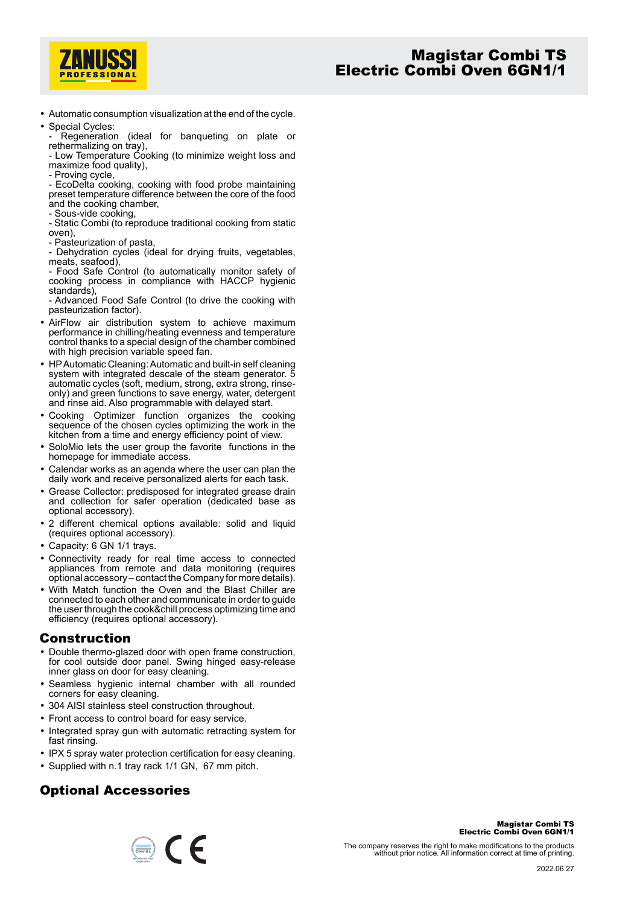

• Automatic consumption visualization at the end of the cycle. • Special Cycles:

Regeneration (ideal for banqueting on plate or rethermalizing on tray),

- Low Temperature Cooking (to minimize weight loss and maximize food quality),

- Proving cycle,

- EcoDelta cooking, cooking with food probe maintaining preset temperature difference between the core of the food and the cooking chamber,

- Sous-vide cooking,

- Static Combi (to reproduce traditional cooking from static oven),

- Pasteurization of pasta,

- Dehydration cycles (ideal for drying fruits, vegetables, meats, seafood),

- Food Safe Control (to automatically monitor safety of cooking process in compliance with HACCP hygienic standards).

- Advanced Food Safe Control (to drive the cooking with pasteurization factor).

- AirFlow air distribution system to achieve maximum performance in chilling/heating evenness and temperature control thanks to a special design of the chamber combined with high precision variable speed fan.
- HP Automatic Cleaning: Automatic and built-in self cleaning system with integrated descale of the steam generator. 5 automatic cycles (soft, medium, strong, extra strong, rinseonly) and green functions to save energy, water, detergent and rinse aid. Also programmable with delayed start.
- Cooking Optimizer function organizes the cooking sequence of the chosen cycles optimizing the work in the kitchen from a time and energy efficiency point of view.
- SoloMio lets the user group the favorite functions in the homepage for immediate access.
- • Calendar works as an agenda where the user can plan the daily work and receive personalized alerts for each task.
- Grease Collector: predisposed for integrated grease drain and collection for safer operation (dedicated base as optional accessory).
- 2 different chemical options available: solid and liquid (requires optional accessory).
- Capacity: 6 GN 1/1 trays.
- Connectivity ready for real time access to connected appliances from remote and data monitoring (requires optional accessory – contact the Company for more details).
- With Match function the Oven and the Blast Chiller are connected to each other and communicate in order to guide the user through the cook&chill process optimizing time and efficiency (requires optional accessory).

### **Construction**

- Double thermo-glazed door with open frame construction, for cool outside door panel. Swing hinged easy-release inner glass on door for easy cleaning.
- Seamless hygienic internal chamber with all rounded corners for easy cleaning.
- 304 AISI stainless steel construction throughout.
- Front access to control board for easy service.
- Integrated spray gun with automatic retracting system for fast rinsing.
- IPX 5 spray water protection certification for easy cleaning.
- Supplied with n.1 tray rack 1/1 GN, 67 mm pitch.

## **Optional Accessories**



**Magistar Combi TS**